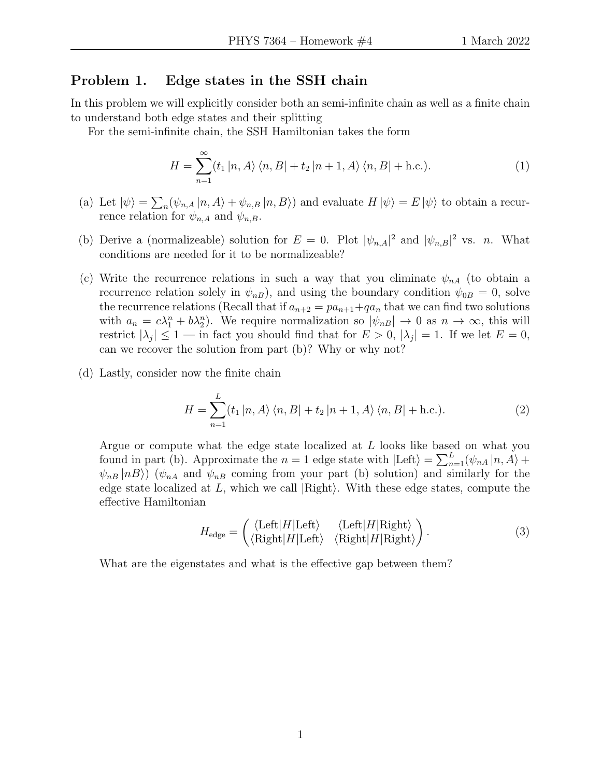## Problem 1. Edge states in the SSH chain

In this problem we will explicitly consider both an semi-infinite chain as well as a finite chain to understand both edge states and their splitting

For the semi-infinite chain, the SSH Hamiltonian takes the form

$$
H = \sum_{n=1}^{\infty} \langle t_1 | n, A \rangle \langle n, B | + t_2 | n + 1, A \rangle \langle n, B | + \text{h.c.} \rangle.
$$
 (1)

- (a) Let  $|\psi\rangle = \sum_{n} (\psi_{n,A} |n, A\rangle + \psi_{n,B} |n, B\rangle)$  and evaluate  $H |\psi\rangle = E |\psi\rangle$  to obtain a recurrence relation for  $\psi_{n,A}$  and  $\psi_{n,B}$ .
- (b) Derive a (normalizeable) solution for  $E = 0$ . Plot  $|\psi_{n,A}|^2$  and  $|\psi_{n,B}|^2$  vs. *n*. What conditions are needed for it to be normalizeable?
- (c) Write the recurrence relations in such a way that you eliminate  $\psi_{nA}$  (to obtain a recurrence relation solely in  $\psi_{nB}$ ), and using the boundary condition  $\psi_{0B} = 0$ , solve the recurrence relations (Recall that if  $a_{n+2} = pa_{n+1} + qa_n$  that we can find two solutions with  $a_n = c\lambda_1^n + b\lambda_2^n$ . We require normalization so  $|\psi_{nB}| \to 0$  as  $n \to \infty$ , this will restrict  $|\lambda_j| \leq 1$  — in fact you should find that for  $E > 0$ ,  $|\lambda_j| = 1$ . If we let  $E = 0$ , can we recover the solution from part (b)? Why or why not?
- (d) Lastly, consider now the finite chain

$$
H = \sum_{n=1}^{L} \langle t_1 | n, A \rangle \langle n, B | + t_2 | n + 1, A \rangle \langle n, B | + \text{h.c.} \rangle.
$$
 (2)

Argue or compute what the edge state localized at L looks like based on what you found in part (b). Approximate the  $n = 1$  edge state with  $|\text{Left}\rangle = \sum_{n=1}^{L} (\psi_{nA} | n, A) +$  $\psi_{nB}$  |nB) ( $\psi_{nA}$  and  $\psi_{nB}$  coming from your part (b) solution) and similarly for the edge state localized at  $L$ , which we call  $\langle$ Right $\rangle$ . With these edge states, compute the effective Hamiltonian

$$
H_{\text{edge}} = \begin{pmatrix} \langle \text{Left} | H | \text{Left} \rangle & \langle \text{Left} | H | \text{Right} \rangle \\ \langle \text{Right} | H | \text{Left} \rangle & \langle \text{Right} | H | \text{Right} \rangle \end{pmatrix}.
$$
 (3)

What are the eigenstates and what is the effective gap between them?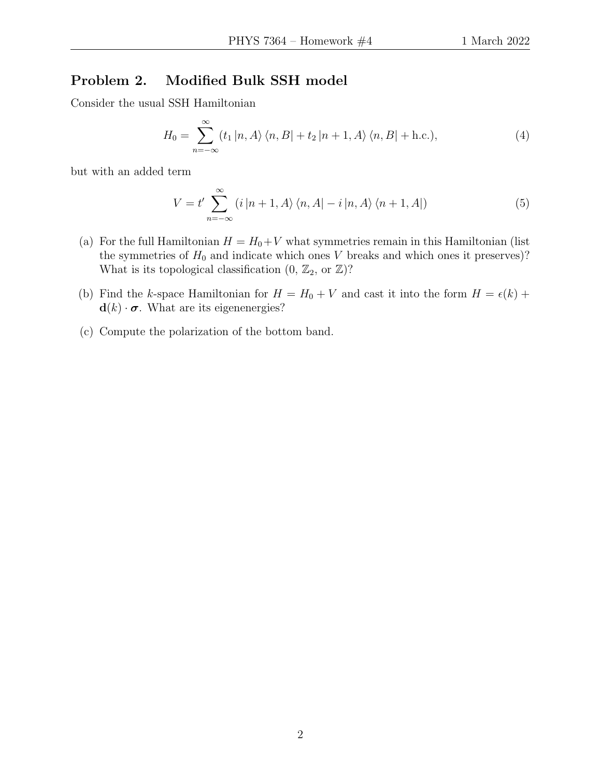## Problem 2. Modified Bulk SSH model

Consider the usual SSH Hamiltonian

$$
H_0 = \sum_{n=-\infty}^{\infty} (t_1 | n, A \rangle \langle n, B | + t_2 | n + 1, A \rangle \langle n, B | + \text{h.c.}), \tag{4}
$$

but with an added term

$$
V = t' \sum_{n=-\infty}^{\infty} (i |n+1, A\rangle \langle n, A| - i |n, A\rangle \langle n+1, A|)
$$
 (5)

- (a) For the full Hamiltonian  $H = H_0 + V$  what symmetries remain in this Hamiltonian (list the symmetries of  $H_0$  and indicate which ones V breaks and which ones it preserves)? What is its topological classification  $(0, \mathbb{Z}_2, \text{or } \mathbb{Z})$ ?
- (b) Find the k-space Hamiltonian for  $H = H_0 + V$  and cast it into the form  $H = \epsilon(k) +$  $\mathbf{d}(k) \cdot \boldsymbol{\sigma}$ . What are its eigenenergies?
- (c) Compute the polarization of the bottom band.